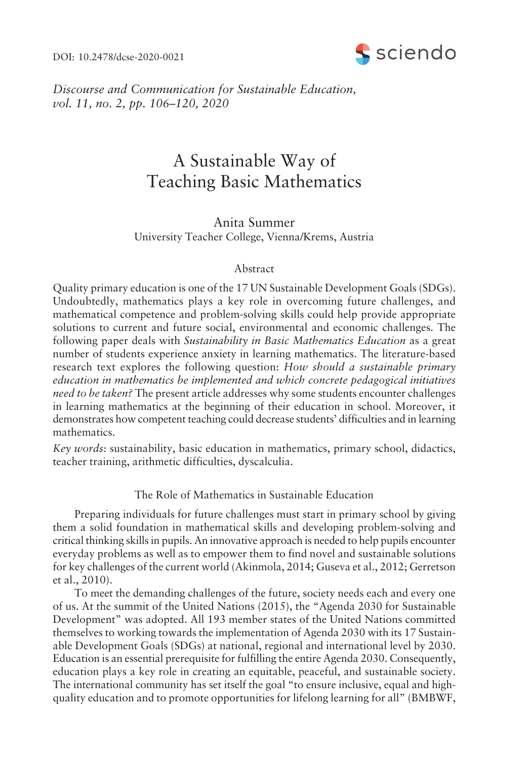DOI: 10.2478/dcse-2020-0021



*Discourse and Communication for Sustainable Education, vol.* 11, no. 2, pp. 106–120, 2020

# A Sustainable Way of Teaching Basic Mathematics

Anita Summer University Teacher College, Vienna/Krems, Austria

# Abstract

Quality primary education is one of the 17 UN Sustainable Development Goals (SDGs). Undoubtedly, mathematics plays a key role in overcoming future challenges, and mathematical competence and problem-solving skills could help provide appropriate solutions to current and future social, environmental and economic challenges. The following paper deals with *Sustainability in Basic Mathematics Education* as a great number of students experience anxiety in learning mathematics. The literature-based research text explores the following question: *How should a sustainable primary education in mathematics be implemented and which concrete pedagogical initiatives need to be taken?* The present article addresses why some students encounter challenges in learning mathematics at the beginning of their education in school. Moreover, it demonstrates how competent teaching could decrease students' difficulties and in learning mathematics.

*Key words*: sustainability, basic education in mathematics, primary school, didactics, teacher training, arithmetic difficulties, dyscalculia.

The Role of Mathematics in Sustainable Education

Preparing individuals for future challenges must start in primary school by giving them a solid foundation in mathematical skills and developing problem-solving and critical thinking skills in pupils. An innovative approach is needed to help pupils encounter everyday problems as well as to empower them to find novel and sustainable solutions for key challenges of the current world (Akinmola, 2014; Guseva et al., 2012; Gerretson et al., 2010).

To meet the demanding challenges of the future, society needs each and every one of us. At the summit of the United Nations  $(2015)$ , the "Agenda 2030 for Sustainable" Development" was adopted. All 193 member states of the United Nations committed themselves to working towards the implementation of Agenda 2030 with its 17 Sustainable Development Goals (SDGs) at national, regional and international level by 2030. Education is an essential prerequisite for fulfilling the entire Agenda 2030. Consequently, education plays a key role in creating an equitable, peaceful, and sustainable society. The international community has set itself the goal "to ensure inclusive, equal and highquality education and to promote opportunities for lifelong learning for all" (BMBWF,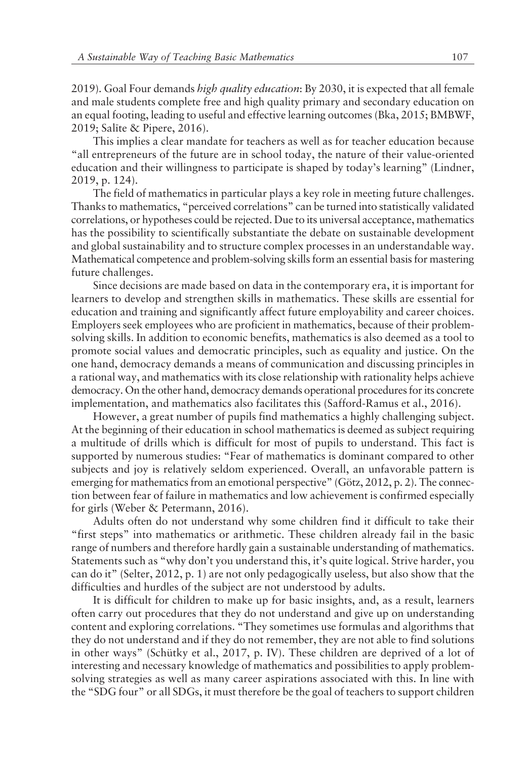2019). Goal Four demands *high quality education*: By 2030, it is expected that all female and male students complete free and high quality primary and secondary education on an equal footing, leading to useful and effective learning outcomes (Bka, 2015; BMBWF, 2019; Salīte & Pipere, 2016).

This implies a clear mandate for teachers as well as for teacher education because ìall entrepreneurs of the future are in school today, the nature of their value-oriented education and their willingness to participate is shaped by today's learning" (Lindner, 2019, p. 124).

The field of mathematics in particular plays a key role in meeting future challenges. Thanks to mathematics, "perceived correlations" can be turned into statistically validated correlations, or hypotheses could be rejected. Due to its universal acceptance, mathematics has the possibility to scientifically substantiate the debate on sustainable development and global sustainability and to structure complex processes in an understandable way. Mathematical competence and problem-solving skills form an essential basis for mastering future challenges.

Since decisions are made based on data in the contemporary era, it is important for learners to develop and strengthen skills in mathematics. These skills are essential for education and training and significantly affect future employability and career choices. Employers seek employees who are proficient in mathematics, because of their problemsolving skills. In addition to economic benefits, mathematics is also deemed as a tool to promote social values and democratic principles, such as equality and justice. On the one hand, democracy demands a means of communication and discussing principles in a rational way, and mathematics with its close relationship with rationality helps achieve democracy. On the other hand, democracy demands operational procedures for its concrete implementation, and mathematics also facilitates this (Safford-Ramus et al., 2016).

However, a great number of pupils find mathematics a highly challenging subject. At the beginning of their education in school mathematics is deemed as subject requiring a multitude of drills which is difficult for most of pupils to understand. This fact is supported by numerous studies: "Fear of mathematics is dominant compared to other subjects and joy is relatively seldom experienced. Overall, an unfavorable pattern is emerging for mathematics from an emotional perspective" (Götz, 2012, p. 2). The connection between fear of failure in mathematics and low achievement is confirmed especially for girls (Weber & Petermann, 2016).

Adults often do not understand why some children find it difficult to take their ìfirst stepsî into mathematics or arithmetic. These children already fail in the basic range of numbers and therefore hardly gain a sustainable understanding of mathematics. Statements such as "why don't you understand this, it's quite logical. Strive harder, you can do it" (Selter, 2012, p. 1) are not only pedagogically useless, but also show that the difficulties and hurdles of the subject are not understood by adults.

It is difficult for children to make up for basic insights, and, as a result, learners often carry out procedures that they do not understand and give up on understanding content and exploring correlations. "They sometimes use formulas and algorithms that they do not understand and if they do not remember, they are not able to find solutions in other ways" (Schütky et al., 2017, p. IV). These children are deprived of a lot of interesting and necessary knowledge of mathematics and possibilities to apply problemsolving strategies as well as many career aspirations associated with this. In line with the "SDG four" or all SDGs, it must therefore be the goal of teachers to support children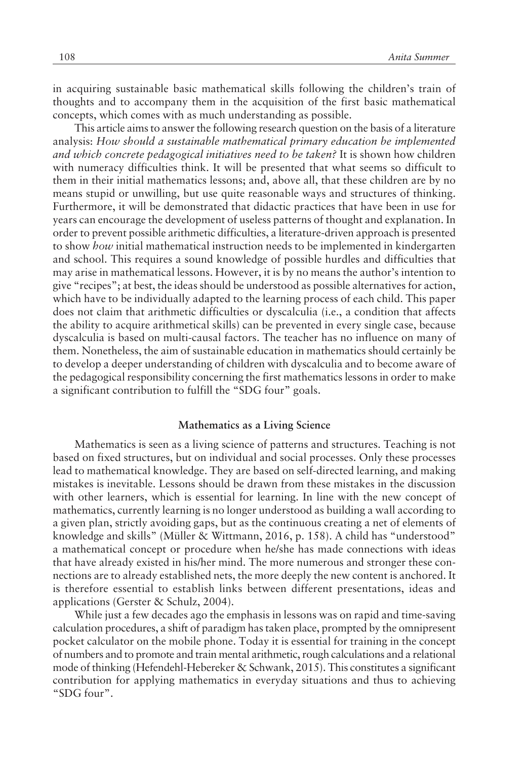in acquiring sustainable basic mathematical skills following the children's train of thoughts and to accompany them in the acquisition of the first basic mathematical concepts, which comes with as much understanding as possible.

This article aims to answer the following research question on the basis of a literature analysis: *How should a sustainable mathematical primary education be implemented and which concrete pedagogical initiatives need to be taken?* It is shown how children with numeracy difficulties think. It will be presented that what seems so difficult to them in their initial mathematics lessons; and, above all, that these children are by no means stupid or unwilling, but use quite reasonable ways and structures of thinking. Furthermore, it will be demonstrated that didactic practices that have been in use for years can encourage the development of useless patterns of thought and explanation. In order to prevent possible arithmetic difficulties, a literature-driven approach is presented to show *how* initial mathematical instruction needs to be implemented in kindergarten and school. This requires a sound knowledge of possible hurdles and difficulties that may arise in mathematical lessons. However, it is by no means the author's intention to give "recipes"; at best, the ideas should be understood as possible alternatives for action, which have to be individually adapted to the learning process of each child. This paper does not claim that arithmetic difficulties or dyscalculia (i.e., a condition that affects the ability to acquire arithmetical skills) can be prevented in every single case, because dyscalculia is based on multi-causal factors. The teacher has no influence on many of them. Nonetheless, the aim of sustainable education in mathematics should certainly be to develop a deeper understanding of children with dyscalculia and to become aware of the pedagogical responsibility concerning the first mathematics lessons in order to make a significant contribution to fulfill the "SDG four" goals.

#### **Mathematics as a Living Science**

Mathematics is seen as a living science of patterns and structures. Teaching is not based on fixed structures, but on individual and social processes. Only these processes lead to mathematical knowledge. They are based on self-directed learning, and making mistakes is inevitable. Lessons should be drawn from these mistakes in the discussion with other learners, which is essential for learning. In line with the new concept of mathematics, currently learning is no longer understood as building a wall according to a given plan, strictly avoiding gaps, but as the continuous creating a net of elements of knowledge and skills" (Müller & Wittmann, 2016, p. 158). A child has "understood" a mathematical concept or procedure when he/she has made connections with ideas that have already existed in his/her mind. The more numerous and stronger these connections are to already established nets, the more deeply the new content is anchored. It is therefore essential to establish links between different presentations, ideas and applications (Gerster & Schulz, 2004).

While just a few decades ago the emphasis in lessons was on rapid and time-saving calculation procedures, a shift of paradigm has taken place, prompted by the omnipresent pocket calculator on the mobile phone. Today it is essential for training in the concept of numbers and to promote and train mental arithmetic, rough calculations and a relational mode of thinking (Hefendehl-Hebereker & Schwank, 2015). This constitutes a significant contribution for applying mathematics in everyday situations and thus to achieving "SDG four".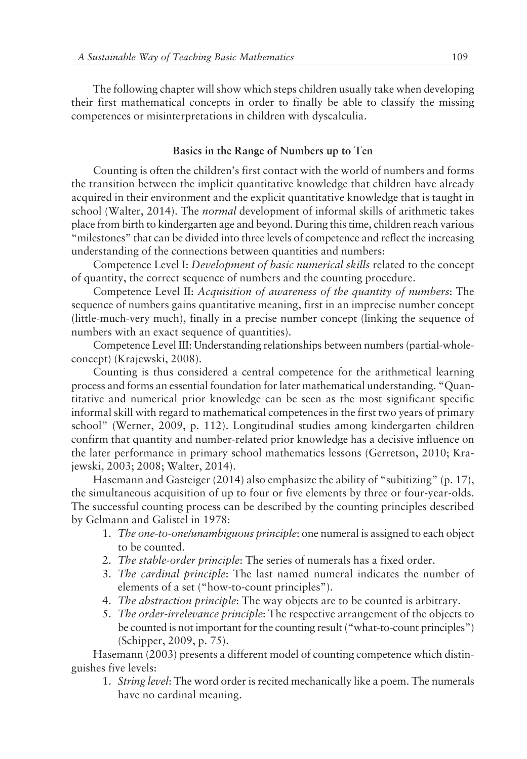The following chapter will show which steps children usually take when developing their first mathematical concepts in order to finally be able to classify the missing competences or misinterpretations in children with dyscalculia.

# **Basics in the Range of Numbers up to Ten**

Counting is often the children's first contact with the world of numbers and forms the transition between the implicit quantitative knowledge that children have already acquired in their environment and the explicit quantitative knowledge that is taught in school (Walter, 2014). The *normal* development of informal skills of arithmetic takes place from birth to kindergarten age and beyond. During this time, children reach various ìmilestonesî that can be divided into three levels of competence and reflect the increasing understanding of the connections between quantities and numbers:

Competence Level I: *Development of basic numerical skills* related to the concept of quantity, the correct sequence of numbers and the counting procedure.

Competence Level II: *Acquisition of awareness of the quantity of numbers*: The sequence of numbers gains quantitative meaning, first in an imprecise number concept (little-much-very much), finally in a precise number concept (linking the sequence of numbers with an exact sequence of quantities).

Competence Level III: Understanding relationships between numbers (partial-wholeconcept) (Krajewski, 2008).

Counting is thus considered a central competence for the arithmetical learning process and forms an essential foundation for later mathematical understanding. "Quantitative and numerical prior knowledge can be seen as the most significant specific informal skill with regard to mathematical competences in the first two years of primary school" (Werner, 2009, p. 112). Longitudinal studies among kindergarten children confirm that quantity and number-related prior knowledge has a decisive influence on the later performance in primary school mathematics lessons (Gerretson, 2010; Krajewski, 2003; 2008; Walter, 2014).

Hasemann and Gasteiger (2014) also emphasize the ability of "subitizing" (p. 17), the simultaneous acquisition of up to four or five elements by three or four-year-olds. The successful counting process can be described by the counting principles described by Gelmann and Galistel in 1978:

- 1. *The one-to-one/unambiguous principle*: one numeral is assigned to each object to be counted.
- 2. *The stable-order principle*: The series of numerals has a fixed order.
- 3. *The cardinal principle*: The last named numeral indicates the number of elements of a set ("how-to-count principles").
- 4. *The abstraction principle*: The way objects are to be counted is arbitrary.
- 5. *The order-irrelevance principle*: The respective arrangement of the objects to be counted is not important for the counting result ("what-to-count principles") (Schipper, 2009, p. 75).

Hasemann (2003) presents a different model of counting competence which distinguishes five levels:

1. *String level*: The word order is recited mechanically like a poem. The numerals have no cardinal meaning.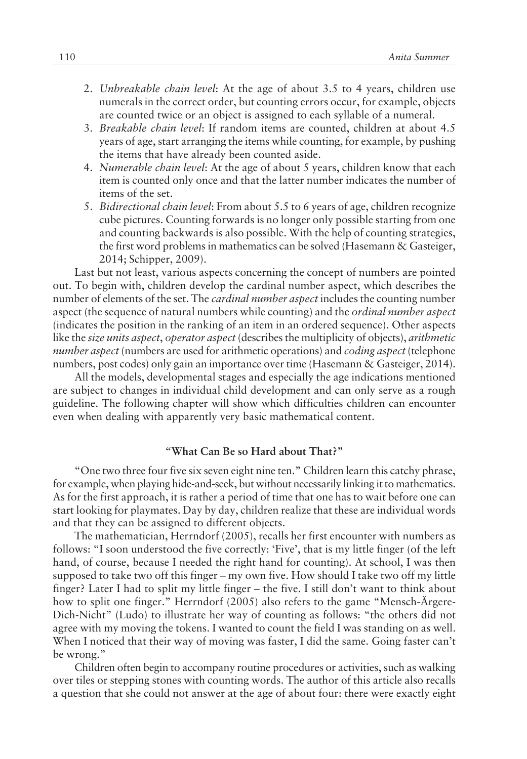- 2. *Unbreakable chain level*: At the age of about 3.5 to 4 years, children use numerals in the correct order, but counting errors occur, for example, objects are counted twice or an object is assigned to each syllable of a numeral.
- 3. *Breakable chain level*: If random items are counted, children at about 4.5 years of age, start arranging the items while counting, for example, by pushing the items that have already been counted aside.
- 4. *Numerable chain level*: At the age of about 5 years, children know that each item is counted only once and that the latter number indicates the number of items of the set.
- 5. *Bidirectional chain level*: From about 5.5 to 6 years of age, children recognize cube pictures. Counting forwards is no longer only possible starting from one and counting backwards is also possible. With the help of counting strategies, the first word problems in mathematics can be solved (Hasemann & Gasteiger, 2014; Schipper, 2009).

Last but not least, various aspects concerning the concept of numbers are pointed out. To begin with, children develop the cardinal number aspect, which describes the number of elements of the set. The *cardinal number aspect* includes the counting number aspect (the sequence of natural numbers while counting) and the *ordinal number aspect* (indicates the position in the ranking of an item in an ordered sequence). Other aspects like the *size units aspect*, *operator aspect* (describes the multiplicity of objects), *arithmetic number aspect* (numbers are used for arithmetic operations) and *coding aspect* (telephone numbers, post codes) only gain an importance over time (Hasemann & Gasteiger, 2014).

All the models, developmental stages and especially the age indications mentioned are subject to changes in individual child development and can only serve as a rough guideline. The following chapter will show which difficulties children can encounter even when dealing with apparently very basic mathematical content.

# **ìWhat Can Be so Hard about That?î**

ìOne two three four five six seven eight nine ten.î Children learn this catchy phrase, for example, when playing hide-and-seek, but without necessarily linking it to mathematics. As for the first approach, it is rather a period of time that one has to wait before one can start looking for playmates. Day by day, children realize that these are individual words and that they can be assigned to different objects.

The mathematician, Herrndorf (2005), recalls her first encounter with numbers as follows: "I soon understood the five correctly: 'Five', that is my little finger (of the left hand, of course, because I needed the right hand for counting). At school, I was then supposed to take two off this finger - my own five. How should I take two off my little finger? Later I had to split my little finger – the five. I still don't want to think about how to split one finger." Herrndorf (2005) also refers to the game "Mensch-Ärgere-Dich-Nicht" (Ludo) to illustrate her way of counting as follows: "the others did not agree with my moving the tokens. I wanted to count the field I was standing on as well. When I noticed that their way of moving was faster, I did the same. Going faster can't be wrong."

Children often begin to accompany routine procedures or activities, such as walking over tiles or stepping stones with counting words. The author of this article also recalls a question that she could not answer at the age of about four: there were exactly eight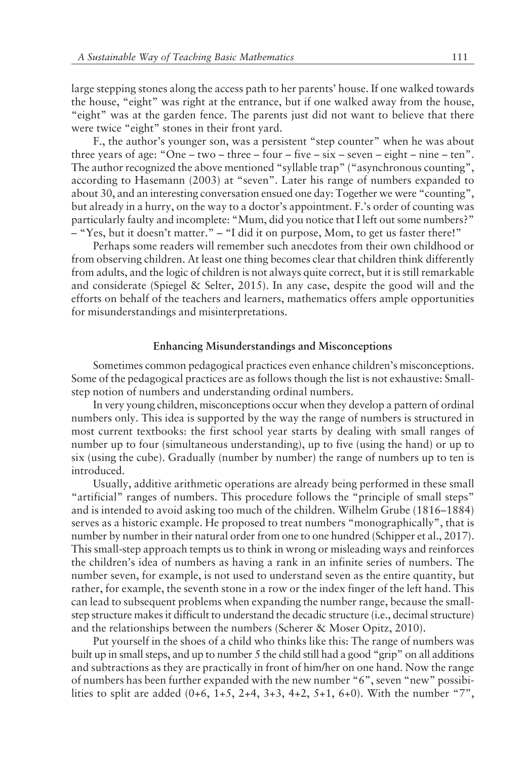large stepping stones along the access path to her parents' house. If one walked towards the house, "eight" was right at the entrance, but if one walked away from the house, "eight" was at the garden fence. The parents just did not want to believe that there were twice "eight" stones in their front yard.

F., the author's younger son, was a persistent "step counter" when he was about three years of age: "One – two – three – four – five – six – seven – eight – nine – ten". The author recognized the above mentioned "syllable trap" ("asynchronous counting", according to Hasemann (2003) at "seven". Later his range of numbers expanded to about 30, and an interesting conversation ensued one day: Together we were "counting", but already in a hurry, on the way to a doctor's appointment. F.'s order of counting was particularly faulty and incomplete: "Mum, did you notice that I left out some numbers?" – "Yes, but it doesn't matter." – "I did it on purpose, Mom, to get us faster there!"

Perhaps some readers will remember such anecdotes from their own childhood or from observing children. At least one thing becomes clear that children think differently from adults, and the logic of children is not always quite correct, but it is still remarkable and considerate (Spiegel & Selter, 2015). In any case, despite the good will and the efforts on behalf of the teachers and learners, mathematics offers ample opportunities for misunderstandings and misinterpretations.

#### **Enhancing Misunderstandings and Misconceptions**

Sometimes common pedagogical practices even enhance children's misconceptions. Some of the pedagogical practices are as follows though the list is not exhaustive: Smallstep notion of numbers and understanding ordinal numbers.

In very young children, misconceptions occur when they develop a pattern of ordinal numbers only. This idea is supported by the way the range of numbers is structured in most current textbooks: the first school year starts by dealing with small ranges of number up to four (simultaneous understanding), up to five (using the hand) or up to six (using the cube). Gradually (number by number) the range of numbers up to ten is introduced.

Usually, additive arithmetic operations are already being performed in these small "artificial" ranges of numbers. This procedure follows the "principle of small steps" and is intended to avoid asking too much of the children. Wilhelm Grube  $(1816–1884)$ serves as a historic example. He proposed to treat numbers "monographically", that is number by number in their natural order from one to one hundred (Schipper et al., 2017). This small-step approach tempts us to think in wrong or misleading ways and reinforces the childrenís idea of numbers as having a rank in an infinite series of numbers. The number seven, for example, is not used to understand seven as the entire quantity, but rather, for example, the seventh stone in a row or the index finger of the left hand. This can lead to subsequent problems when expanding the number range, because the smallstep structure makes it difficult to understand the decadic structure (i.e., decimal structure) and the relationships between the numbers (Scherer & Moser Opitz, 2010).

Put yourself in the shoes of a child who thinks like this: The range of numbers was built up in small steps, and up to number 5 the child still had a good "grip" on all additions and subtractions as they are practically in front of him/her on one hand. Now the range of numbers has been further expanded with the new number "6", seven "new" possibilities to split are added  $(0+6, 1+5, 2+4, 3+3, 4+2, 5+1, 6+0)$ . With the number "7",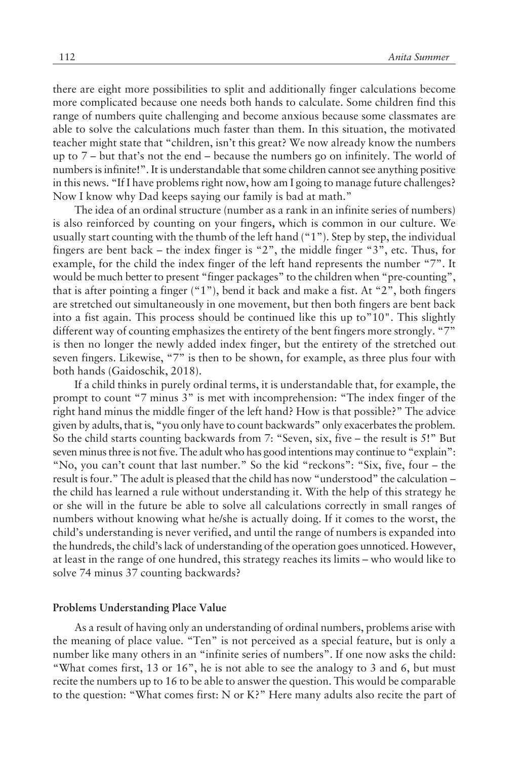there are eight more possibilities to split and additionally finger calculations become more complicated because one needs both hands to calculate. Some children find this range of numbers quite challenging and become anxious because some classmates are able to solve the calculations much faster than them. In this situation, the motivated teacher might state that "children, isn't this great? We now already know the numbers up to  $7$  – but that's not the end – because the numbers go on infinitely. The world of numbers is infinite!". It is understandable that some children cannot see anything positive in this news. "If I have problems right now, how am I going to manage future challenges? Now I know why Dad keeps saying our family is bad at math."

The idea of an ordinal structure (number as a rank in an infinite series of numbers) is also reinforced by counting on your fingers**,** which is common in our culture. We usually start counting with the thumb of the left hand  $("1").$  Step by step, the individual fingers are bent back – the index finger is  $2$ ", the middle finger  $3$ ", etc. Thus, for example, for the child the index finger of the left hand represents the number  $\degree$ 7". It would be much better to present "finger packages" to the children when "pre-counting", that is after pointing a finger  $("1"),$  bend it back and make a fist. At "2", both fingers are stretched out simultaneously in one movement, but then both fingers are bent back into a fist again. This process should be continued like this up to  $10"$ . This slightly different way of counting emphasizes the entirety of the bent fingers more strongly.  $\degree$ 7" is then no longer the newly added index finger, but the entirety of the stretched out seven fingers. Likewise, "7" is then to be shown, for example, as three plus four with both hands (Gaidoschik, 2018).

If a child thinks in purely ordinal terms, it is understandable that, for example, the prompt to count "7 minus 3" is met with incomprehension: "The index finger of the right hand minus the middle finger of the left hand? How is that possible?" The advice given by adults, that is, "you only have to count backwards" only exacerbates the problem. So the child starts counting backwards from 7: "Seven, six, five – the result is 5!" But seven minus three is not five. The adult who has good intentions may continue to "explain": "No, you can't count that last number." So the kid "reckons": "Six, five, four – the result is four." The adult is pleased that the child has now "understood" the calculation – the child has learned a rule without understanding it. With the help of this strategy he or she will in the future be able to solve all calculations correctly in small ranges of numbers without knowing what he/she is actually doing. If it comes to the worst, the child's understanding is never verified, and until the range of numbers is expanded into the hundreds, the child's lack of understanding of the operation goes unnoticed. However, at least in the range of one hundred, this strategy reaches its limits – who would like to solve 74 minus 37 counting backwards?

# **Problems Understanding Place Value**

As a result of having only an understanding of ordinal numbers, problems arise with the meaning of place value. "Ten" is not perceived as a special feature, but is only a number like many others in an "infinite series of numbers". If one now asks the child: "What comes first,  $13$  or  $16$ ", he is not able to see the analogy to 3 and 6, but must recite the numbers up to 16 to be able to answer the question. This would be comparable to the question: "What comes first: N or K?" Here many adults also recite the part of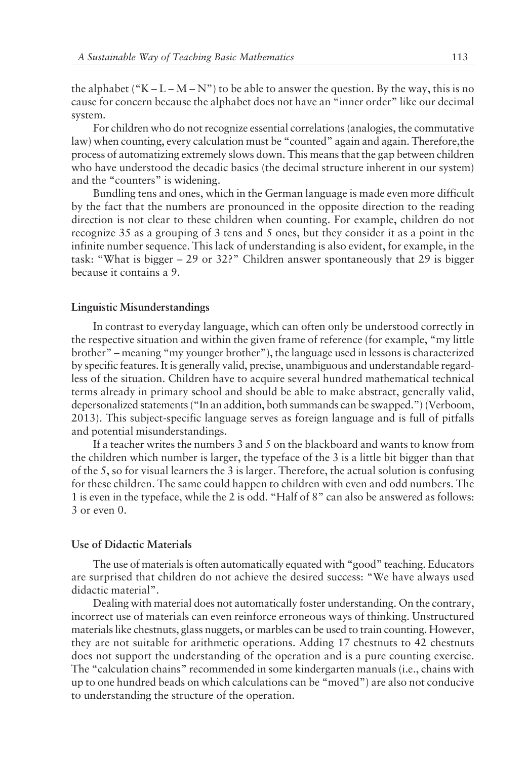the alphabet ("K – L – M – N") to be able to answer the question. By the way, this is no cause for concern because the alphabet does not have an "inner order" like our decimal system.

For children who do not recognize essential correlations (analogies, the commutative law) when counting, every calculation must be "counted" again and again. Therefore, the process of automatizing extremely slows down. This means that the gap between children who have understood the decadic basics (the decimal structure inherent in our system) and the "counters" is widening.

Bundling tens and ones, which in the German language is made even more difficult by the fact that the numbers are pronounced in the opposite direction to the reading direction is not clear to these children when counting. For example, children do not recognize 35 as a grouping of 3 tens and 5 ones, but they consider it as a point in the infinite number sequence. This lack of understanding is also evident, for example, in the task: "What is bigger  $-29$  or 32?" Children answer spontaneously that 29 is bigger because it contains a 9.

# **Linguistic Misunderstandings**

In contrast to everyday language, which can often only be understood correctly in the respective situation and within the given frame of reference (for example, "my little brother" – meaning "my younger brother"), the language used in lessons is characterized by specific features. It is generally valid, precise, unambiguous and understandable regardless of the situation. Children have to acquire several hundred mathematical technical terms already in primary school and should be able to make abstract, generally valid, depersonalized statements ("In an addition, both summands can be swapped.") (Verboom, 2013). This subject-specific language serves as foreign language and is full of pitfalls and potential misunderstandings.

If a teacher writes the numbers 3 and 5 on the blackboard and wants to know from the children which number is larger, the typeface of the 3 is a little bit bigger than that of the 5, so for visual learners the 3 is larger. Therefore, the actual solution is confusing for these children. The same could happen to children with even and odd numbers. The 1 is even in the typeface, while the 2 is odd. "Half of 8" can also be answered as follows: 3 or even 0.

#### **Use of Didactic Materials**

The use of materials is often automatically equated with "good" teaching. Educators are surprised that children do not achieve the desired success: "We have always used didactic material".

Dealing with material does not automatically foster understanding. On the contrary, incorrect use of materials can even reinforce erroneous ways of thinking. Unstructured materials like chestnuts, glass nuggets, or marbles can be used to train counting. However, they are not suitable for arithmetic operations. Adding 17 chestnuts to 42 chestnuts does not support the understanding of the operation and is a pure counting exercise. The "calculation chains" recommended in some kindergarten manuals (i.e., chains with up to one hundred beads on which calculations can be "moved") are also not conducive to understanding the structure of the operation.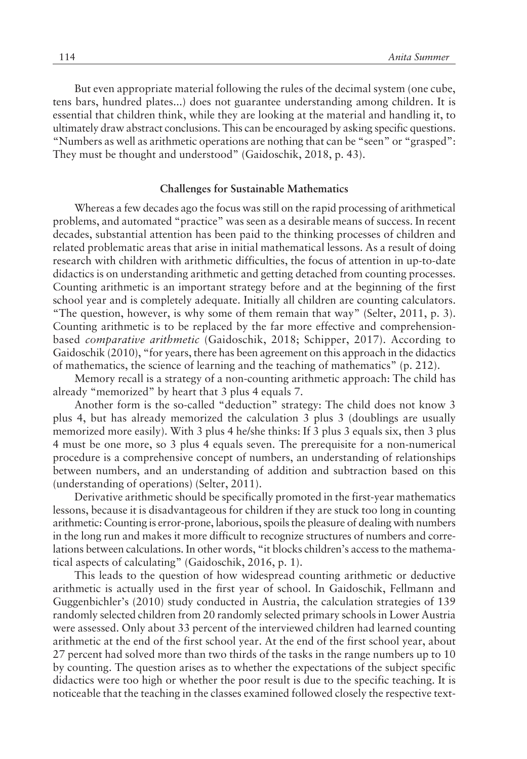But even appropriate material following the rules of the decimal system (one cube, tens bars, hundred plates...) does not guarantee understanding among children. It is essential that children think, while they are looking at the material and handling it, to ultimately draw abstract conclusions. This can be encouraged by asking specific questions. "Numbers as well as arithmetic operations are nothing that can be "seen" or "grasped": They must be thought and understood" (Gaidoschik, 2018, p. 43).

#### **Challenges for Sustainable Mathematics**

Whereas a few decades ago the focus was still on the rapid processing of arithmetical problems, and automated "practice" was seen as a desirable means of success. In recent decades, substantial attention has been paid to the thinking processes of children and related problematic areas that arise in initial mathematical lessons. As a result of doing research with children with arithmetic difficulties, the focus of attention in up-to-date didactics is on understanding arithmetic and getting detached from counting processes. Counting arithmetic is an important strategy before and at the beginning of the first school year and is completely adequate. Initially all children are counting calculators. "The question, however, is why some of them remain that way" (Selter, 2011, p. 3). Counting arithmetic is to be replaced by the far more effective and comprehensionbased *comparative arithmetic* (Gaidoschik, 2018; Schipper, 2017). According to Gaidoschik  $(2010)$ , "for years, there has been agreement on this approach in the didactics of mathematics, the science of learning and the teaching of mathematics"  $(p. 212)$ .

Memory recall is a strategy of a non-counting arithmetic approach: The child has already "memorized" by heart that 3 plus 4 equals 7.

Another form is the so-called "deduction" strategy: The child does not know 3 plus 4, but has already memorized the calculation 3 plus 3 (doublings are usually memorized more easily). With 3 plus 4 he/she thinks: If 3 plus 3 equals six, then 3 plus 4 must be one more, so 3 plus 4 equals seven. The prerequisite for a non-numerical procedure is a comprehensive concept of numbers, an understanding of relationships between numbers, and an understanding of addition and subtraction based on this (understanding of operations) (Selter, 2011).

Derivative arithmetic should be specifically promoted in the first-year mathematics lessons, because it is disadvantageous for children if they are stuck too long in counting arithmetic: Counting is error-prone, laborious, spoils the pleasure of dealing with numbers in the long run and makes it more difficult to recognize structures of numbers and correlations between calculations. In other words, "it blocks children's access to the mathematical aspects of calculating" (Gaidoschik, 2016, p. 1).

This leads to the question of how widespread counting arithmetic or deductive arithmetic is actually used in the first year of school. In Gaidoschik, Fellmann and Guggenbichler's (2010) study conducted in Austria, the calculation strategies of 139 randomly selected children from 20 randomly selected primary schools in Lower Austria were assessed. Only about 33 percent of the interviewed children had learned counting arithmetic at the end of the first school year. At the end of the first school year, about 27 percent had solved more than two thirds of the tasks in the range numbers up to 10 by counting. The question arises as to whether the expectations of the subject specific didactics were too high or whether the poor result is due to the specific teaching. It is noticeable that the teaching in the classes examined followed closely the respective text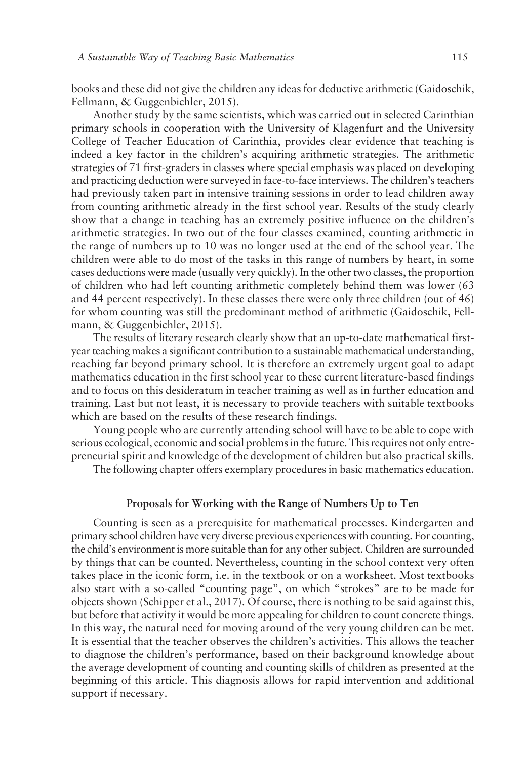books and these did not give the children any ideas for deductive arithmetic (Gaidoschik, Fellmann, & Guggenbichler, 2015).

Another study by the same scientists, which was carried out in selected Carinthian primary schools in cooperation with the University of Klagenfurt and the University College of Teacher Education of Carinthia, provides clear evidence that teaching is indeed a key factor in the children's acquiring arithmetic strategies. The arithmetic strategies of 71 first-graders in classes where special emphasis was placed on developing and practicing deduction were surveyed in face-to-face interviews. The children's teachers had previously taken part in intensive training sessions in order to lead children away from counting arithmetic already in the first school year. Results of the study clearly show that a change in teaching has an extremely positive influence on the children's arithmetic strategies. In two out of the four classes examined, counting arithmetic in the range of numbers up to 10 was no longer used at the end of the school year. The children were able to do most of the tasks in this range of numbers by heart, in some cases deductions were made (usually very quickly). In the other two classes, the proportion of children who had left counting arithmetic completely behind them was lower (63 and 44 percent respectively). In these classes there were only three children (out of 46) for whom counting was still the predominant method of arithmetic (Gaidoschik, Fellmann, & Guggenbichler, 2015).

The results of literary research clearly show that an up-to-date mathematical firstyear teaching makes a significant contribution to a sustainable mathematical understanding, reaching far beyond primary school. It is therefore an extremely urgent goal to adapt mathematics education in the first school year to these current literature-based findings and to focus on this desideratum in teacher training as well as in further education and training. Last but not least, it is necessary to provide teachers with suitable textbooks which are based on the results of these research findings.

Young people who are currently attending school will have to be able to cope with serious ecological, economic and social problems in the future. This requires not only entrepreneurial spirit and knowledge of the development of children but also practical skills.

The following chapter offers exemplary procedures in basic mathematics education.

#### **Proposals for Working with the Range of Numbers Up to Ten**

Counting is seen as a prerequisite for mathematical processes. Kindergarten and primary school children have very diverse previous experiences with counting. For counting, the childís environment is more suitable than for any other subject. Children are surrounded by things that can be counted. Nevertheless, counting in the school context very often takes place in the iconic form, i.e. in the textbook or on a worksheet. Most textbooks also start with a so-called "counting page", on which "strokes" are to be made for objects shown (Schipper et al., 2017). Of course, there is nothing to be said against this, but before that activity it would be more appealing for children to count concrete things. In this way, the natural need for moving around of the very young children can be met. It is essential that the teacher observes the children's activities. This allows the teacher to diagnose the childrenís performance, based on their background knowledge about the average development of counting and counting skills of children as presented at the beginning of this article. This diagnosis allows for rapid intervention and additional support if necessary.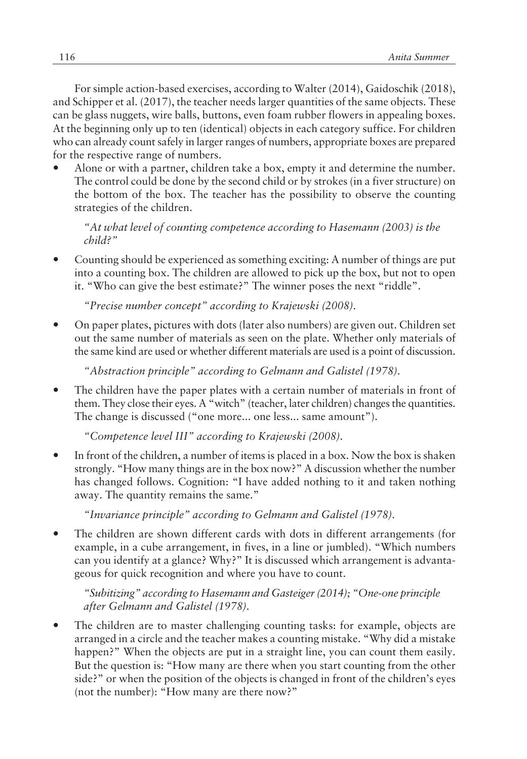For simple action-based exercises, according to Walter (2014), Gaidoschik (2018), and Schipper et al. (2017), the teacher needs larger quantities of the same objects. These can be glass nuggets, wire balls, buttons, even foam rubber flowers in appealing boxes. At the beginning only up to ten (identical) objects in each category suffice. For children who can already count safely in larger ranges of numbers, appropriate boxes are prepared for the respective range of numbers.

Alone or with a partner, children take a box, empty it and determine the number. The control could be done by the second child or by strokes (in a fiver structure) on the bottom of the box. The teacher has the possibility to observe the counting strategies of the children.

*ìAt what level of counting competence according to Hasemann (2003) is the child?î*

ó Counting should be experienced as something exciting: A number of things are put into a counting box. The children are allowed to pick up the box, but not to open it. "Who can give the best estimate?" The winner poses the next "riddle".

*ìPrecise number conceptî according to Krajewski (2008).*

ó On paper plates, pictures with dots (later also numbers) are given out. Children set out the same number of materials as seen on the plate. Whether only materials of the same kind are used or whether different materials are used is a point of discussion.

*ìAbstraction principleî according to Gelmann and Galistel (1978).*

The children have the paper plates with a certain number of materials in front of them. They close their eyes. A "witch" (teacher, later children) changes the quantities. The change is discussed ("one more... one less... same amount").

*ìCompetence level IIIî according to Krajewski (2008).*

In front of the children, a number of items is placed in a box. Now the box is shaken strongly. "How many things are in the box now?" A discussion whether the number has changed follows. Cognition: "I have added nothing to it and taken nothing away. The quantity remains the same."

*ìInvariance principleî according to Gelmann and Galistel (1978).*

The children are shown different cards with dots in different arrangements (for example, in a cube arrangement, in fives, in a line or jumbled). "Which numbers can you identify at a glance? Why?" It is discussed which arrangement is advantageous for quick recognition and where you have to count.

*ìSubitizingî according to Hasemann and Gasteiger (2014); ìOne-one principle after Gelmann and Galistel (1978).*

The children are to master challenging counting tasks: for example, objects are arranged in a circle and the teacher makes a counting mistake. "Why did a mistake happen?" When the objects are put in a straight line, you can count them easily. But the question is: "How many are there when you start counting from the other side?" or when the position of the objects is changed in front of the children's eyes (not the number): "How many are there now?"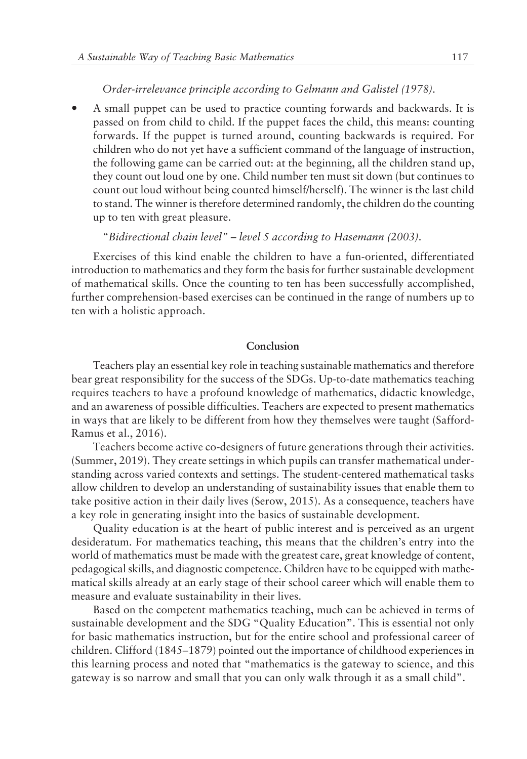# *Order-irrelevance principle according to Gelmann and Galistel (1978).*

ó A small puppet can be used to practice counting forwards and backwards. It is passed on from child to child. If the puppet faces the child, this means: counting forwards. If the puppet is turned around, counting backwards is required. For children who do not yet have a sufficient command of the language of instruction, the following game can be carried out: at the beginning, all the children stand up, they count out loud one by one. Child number ten must sit down (but continues to count out loud without being counted himself/herself). The winner is the last child to stand. The winner is therefore determined randomly, the children do the counting up to ten with great pleasure.

#### *ìBidirectional chain levelî ñ level 5 according to Hasemann (2003).*

Exercises of this kind enable the children to have a fun-oriented, differentiated introduction to mathematics and they form the basis for further sustainable development of mathematical skills. Once the counting to ten has been successfully accomplished, further comprehension-based exercises can be continued in the range of numbers up to ten with a holistic approach.

#### **Conclusion**

Teachers play an essential key role in teaching sustainable mathematics and therefore bear great responsibility for the success of the SDGs. Up-to-date mathematics teaching requires teachers to have a profound knowledge of mathematics, didactic knowledge, and an awareness of possible difficulties. Teachers are expected to present mathematics in ways that are likely to be different from how they themselves were taught (Safford-Ramus et al., 2016).

Teachers become active co-designers of future generations through their activities. (Summer, 2019). They create settings in which pupils can transfer mathematical understanding across varied contexts and settings. The student-centered mathematical tasks allow children to develop an understanding of sustainability issues that enable them to take positive action in their daily lives (Serow, 2015). As a consequence, teachers have a key role in generating insight into the basics of sustainable development.

Quality education is at the heart of public interest and is perceived as an urgent desideratum. For mathematics teaching, this means that the children's entry into the world of mathematics must be made with the greatest care, great knowledge of content, pedagogical skills, and diagnostic competence. Children have to be equipped with mathematical skills already at an early stage of their school career which will enable them to measure and evaluate sustainability in their lives.

Based on the competent mathematics teaching, much can be achieved in terms of sustainable development and the SDG "Quality Education". This is essential not only for basic mathematics instruction, but for the entire school and professional career of children. Clifford (1845-1879) pointed out the importance of childhood experiences in this learning process and noted that "mathematics is the gateway to science, and this gateway is so narrow and small that you can only walk through it as a small childî.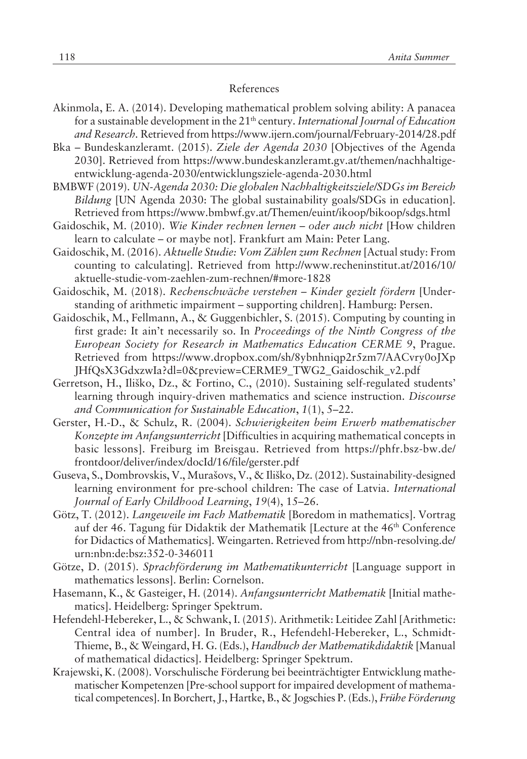#### References

- Akinmola, E. A. (2014). Developing mathematical problem solving ability: A panacea for a sustainable development in the 21th century. *International Journal of Education and Research.* Retrieved from https://www.ijern.com/journal/February-2014/28.pdf
- Bka Bundeskanzleramt. (2015). *Ziele der Agenda 2030* [Objectives of the Agenda 2030]. Retrieved from https://www.bundeskanzleramt.gv.at/themen/nachhaltigeentwicklung-agenda-2030/entwicklungsziele-agenda-2030.html
- BMBWF (2019). *UN-Agenda 2030: Die globalen Nachhaltigkeitsziele/SDGs im Bereich Bildung* [UN Agenda 2030: The global sustainability goals/SDGs in education]. Retrieved from https://www.bmbwf.gv.at/Themen/euint/ikoop/bikoop/sdgs.html
- Gaidoschik, M. (2010). *Wie Kinder rechnen lernen oder auch nicht* [How children learn to calculate – or maybe not]. Frankfurt am Main: Peter Lang.
- Gaidoschik, M. (2016). *Aktuelle Studie: Vom Z‰hlen zum Rechnen* [Actual study: From counting to calculating]. Retrieved from http://www.recheninstitut.at/2016/10/ aktuelle-studie-vom-zaehlen-zum-rechnen/#more-1828
- Gaidoschik, M. (2018). *Rechenschwäche verstehen Kinder gezielt fördern* [Understanding of arithmetic impairment - supporting children]. Hamburg: Persen.
- Gaidoschik, M., Fellmann, A., & Guggenbichler, S. (2015). Computing by counting in first grade: It ainít necessarily so. In *Proceedings of the Ninth Congress of the European Society for Research in Mathematics Education CERME 9*, Prague. Retrieved from https://www.dropbox.com/sh/8ybnhniqp2r5zm7/AACvry0oJXp JHfQsX3GdxzwIa?dl=0&preview=CERME9\_TWG2\_Gaidoschik\_v2.pdf
- Gerretson, H., Iliško, Dz., & Fortino, C., (2010). Sustaining self-regulated students' learning through inquiry-driven mathematics and science instruction. *Discourse and Communication for Sustainable Education,* 1(1), 5-22.
- Gerster, H.-D., & Schulz, R. (2004). *Schwierigkeiten beim Erwerb mathematischer Konzepte im Anfangsunterricht* [Difficulties in acquiring mathematical concepts in basic lessons]. Freiburg im Breisgau. Retrieved from https://phfr.bsz-bw.de/ frontdoor/deliver/index/docId/16/file/gerster.pdf
- Guseva, S., Dombrovskis, V., Murašovs, V., & Iliško, Dz. (2012). Sustainability-designed learning environment for pre-school children: The case of Latvia. *International Journal of Early Childhood Learning*, 19(4), 15-26.
- Gˆtz, T. (2012). *Langeweile im Fach Mathematik* [Boredom in mathematics]. Vortrag auf der 46. Tagung für Didaktik der Mathematik [Lecture at the 46<sup>th</sup> Conference for Didactics of Mathematics]. Weingarten. Retrieved from http://nbn-resolving.de/ urn:nbn:de:bsz:352-0-346011
- Götze, D. (2015). *Sprachförderung im Mathematikunterricht* [Language support in mathematics lessons]. Berlin: Cornelson.
- Hasemann, K., & Gasteiger, H. (2014). *Anfangsunterricht Mathematik* [Initial mathematics]. Heidelberg: Springer Spektrum.
- Hefendehl-Hebereker, L., & Schwank, I. (2015). Arithmetik: Leitidee Zahl [Arithmetic: Central idea of number]. In Bruder, R., Hefendehl-Hebereker, L., Schmidt-Thieme, B., & Weingard, H. G. (Eds.), *Handbuch der Mathematikdidaktik* [Manual of mathematical didactics]. Heidelberg: Springer Spektrum.
- Krajewski, K. (2008). Vorschulische Förderung bei beeinträchtigter Entwicklung mathematischer Kompetenzen [Pre-school support for impaired development of mathematical competences]. In Borchert, J., Hartke, B., & Jogschies P. (Eds.), *Frühe Förderung*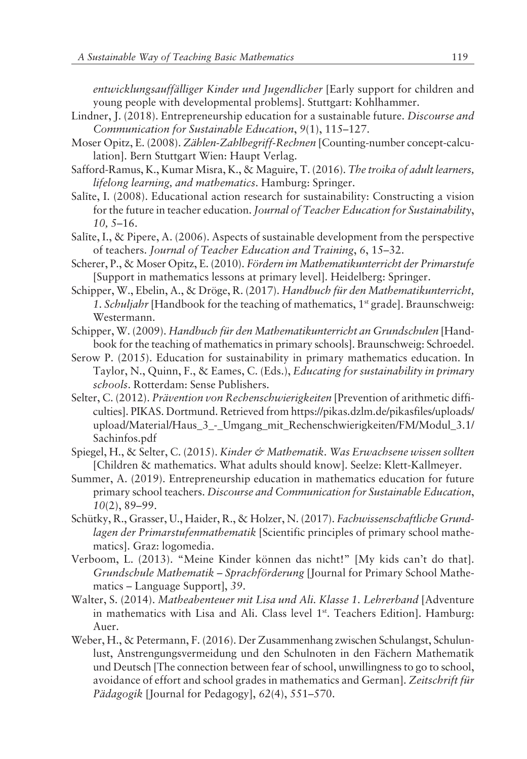*entwicklungsauff‰lliger Kinder und Jugendlicher* [Early support for children and young people with developmental problems]. Stuttgart: Kohlhammer.

- Lindner, J. (2018). Entrepreneurship education for a sustainable future. *Discourse and Communication for Sustainable Education, 9(1), 115-127.*
- Moser Opitz, E. (2008). *Z‰hlen-Zahlbegriff-Rechnen* [Counting-number concept-calculation]. Bern Stuttgart Wien: Haupt Verlag.
- Safford-Ramus, K., Kumar Misra, K., & Maguire, T. (2016). *The troika of adult learners, lifelong learning, and mathematics*. Hamburg: Springer.
- Salīte, I. (2008). Educational action research for sustainability: Constructing a vision for the future in teacher education. *Journal of Teacher Education for Sustainability*, *10, 5*–16.
- Salīte, I., & Pipere, A. (2006). Aspects of sustainable development from the perspective of teachers. *Journal of Teacher Education and Training*, 6, 15–32.
- Scherer, P., & Moser Opitz, E. (2010). *Fˆrdern im Mathematikunterricht der Primarstufe* [Support in mathematics lessons at primary level]. Heidelberg: Springer.
- Schipper, W., Ebelin, A., & Dröge, R. (2017). *Handbuch für den Mathematikunterricht*, 1. Schuljahr [Handbook for the teaching of mathematics, 1<sup>st</sup> grade]. Braunschweig: Westermann.
- Schipper, W. (2009). *Handbuch für den Mathematikunterricht an Grundschulen* [Handbook for the teaching of mathematics in primary schools]. Braunschweig: Schroedel.
- Serow P. (2015). Education for sustainability in primary mathematics education. In Taylor, N., Quinn, F., & Eames, C. (Eds.), *Educating for sustainability in primary schools*. Rotterdam: Sense Publishers.
- Selter, C. (2012). Prävention von Rechenschwierigkeiten [Prevention of arithmetic difficulties]. PIKAS. Dortmund. Retrieved from https://pikas.dzlm.de/pikasfiles/uploads/ upload/Material/Haus\_3\_-\_Umgang\_mit\_Rechenschwierigkeiten/FM/Modul\_3.1/ Sachinfos.pdf
- Spiegel, H., & Selter, C. (2015). *Kinder & Mathematik. Was Erwachsene wissen sollten* [Children & mathematics. What adults should know]. Seelze: Klett-Kallmeyer.
- Summer, A. (2019). Entrepreneurship education in mathematics education for future primary school teachers. *Discourse and Communication for Sustainable Education*, *10*(2), 89-99.
- Schütky, R., Grasser, U., Haider, R., & Holzer, N. (2017). *Fachwissenschaftliche Grundlagen der Primarstufenmathematik* [Scientific principles of primary school mathematics]. Graz: logomedia.
- Verboom, L. (2013). "Meine Kinder können das nicht!" [My kids can't do that]. *Grundschule Mathematik - Sprachförderung* [Journal for Primary School Mathematics – Language Support], 39.
- Walter, S. (2014). *Matheabenteuer mit Lisa und Ali. Klasse 1. Lehrerband* [Adventure in mathematics with Lisa and Ali. Class level  $1<sup>st</sup>$ . Teachers Edition]. Hamburg: Auer.
- Weber, H., & Petermann, F. (2016). Der Zusammenhang zwischen Schulangst, Schulunlust, Anstrengungsvermeidung und den Schulnoten in den Fächern Mathematik und Deutsch [The connection between fear of school, unwillingness to go to school, avoidance of effort and school grades in mathematics and German]. Zeitschrift für *Pädagogik* [Journal for Pedagogy], *62(4)*, 551–570.